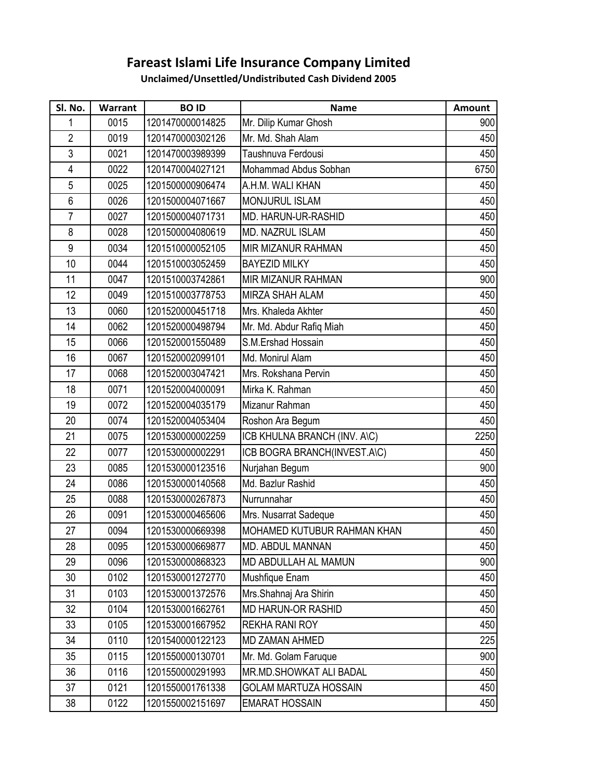## **Fareast Islami Life Insurance Company Limited**

**Unclaimed/Unsettled/Undistributed Cash Dividend 2005**

| SI. No.          | Warrant | <b>BOID</b>      | <b>Name</b>                  | Amount |
|------------------|---------|------------------|------------------------------|--------|
| 1                | 0015    | 1201470000014825 | Mr. Dilip Kumar Ghosh        | 900    |
| $\overline{2}$   | 0019    | 1201470000302126 | Mr. Md. Shah Alam            | 450    |
| 3                | 0021    | 1201470003989399 | Taushnuva Ferdousi           | 450    |
| $\overline{4}$   | 0022    | 1201470004027121 | Mohammad Abdus Sobhan        | 6750   |
| 5                | 0025    | 1201500000906474 | A.H.M. WALI KHAN             | 450    |
| 6                | 0026    | 1201500004071667 | MONJURUL ISLAM               | 450    |
| $\overline{7}$   | 0027    | 1201500004071731 | <b>MD. HARUN-UR-RASHID</b>   | 450    |
| 8                | 0028    | 1201500004080619 | MD. NAZRUL ISLAM             | 450    |
| $\boldsymbol{9}$ | 0034    | 1201510000052105 | MIR MIZANUR RAHMAN           | 450    |
| 10               | 0044    | 1201510003052459 | <b>BAYEZID MILKY</b>         | 450    |
| 11               | 0047    | 1201510003742861 | <b>MIR MIZANUR RAHMAN</b>    | 900    |
| 12               | 0049    | 1201510003778753 | MIRZA SHAH ALAM              | 450    |
| 13               | 0060    | 1201520000451718 | Mrs. Khaleda Akhter          | 450    |
| 14               | 0062    | 1201520000498794 | Mr. Md. Abdur Rafiq Miah     | 450    |
| 15               | 0066    | 1201520001550489 | S.M.Ershad Hossain           | 450    |
| 16               | 0067    | 1201520002099101 | Md. Monirul Alam             | 450    |
| 17               | 0068    | 1201520003047421 | Mrs. Rokshana Pervin         | 450    |
| 18               | 0071    | 1201520004000091 | Mirka K. Rahman              | 450    |
| 19               | 0072    | 1201520004035179 | Mizanur Rahman               | 450    |
| 20               | 0074    | 1201520004053404 | Roshon Ara Begum             | 450    |
| 21               | 0075    | 1201530000002259 | ICB KHULNA BRANCH (INV. A\C) | 2250   |
| 22               | 0077    | 1201530000002291 | ICB BOGRA BRANCH(INVEST.A\C) | 450    |
| 23               | 0085    | 1201530000123516 | Nurjahan Begum               | 900    |
| 24               | 0086    | 1201530000140568 | Md. Bazlur Rashid            | 450    |
| 25               | 0088    | 1201530000267873 | Nurrunnahar                  | 450    |
| 26               | 0091    | 1201530000465606 | Mrs. Nusarrat Sadeque        | 450    |
| 27               | 0094    | 1201530000669398 | MOHAMED KUTUBUR RAHMAN KHAN  | 450    |
| 28               | 0095    | 1201530000669877 | MD. ABDUL MANNAN             | 450    |
| 29               | 0096    | 1201530000868323 | MD ABDULLAH AL MAMUN         | 900    |
| 30               | 0102    | 1201530001272770 | Mushfique Enam               | 450    |
| 31               | 0103    | 1201530001372576 | Mrs.Shahnaj Ara Shirin       | 450    |
| 32               | 0104    | 1201530001662761 | <b>MD HARUN-OR RASHID</b>    | 450    |
| 33               | 0105    | 1201530001667952 | <b>REKHA RANI ROY</b>        | 450    |
| 34               | 0110    | 1201540000122123 | <b>MD ZAMAN AHMED</b>        | 225    |
| 35               | 0115    | 1201550000130701 | Mr. Md. Golam Faruque        | 900    |
| 36               | 0116    | 1201550000291993 | MR.MD.SHOWKAT ALI BADAL      | 450    |
| 37               | 0121    | 1201550001761338 | <b>GOLAM MARTUZA HOSSAIN</b> | 450    |
| 38               | 0122    | 1201550002151697 | <b>EMARAT HOSSAIN</b>        | 450    |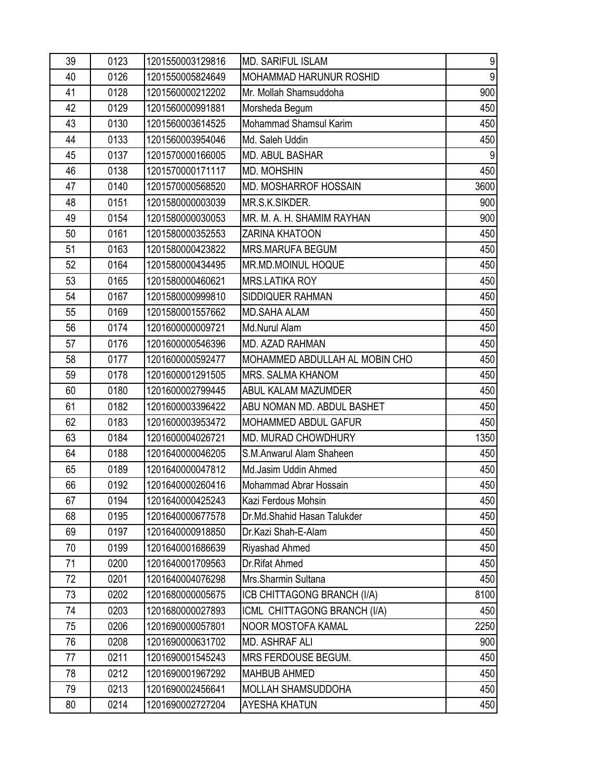| 39 | 0123 | 1201550003129816 | <b>MD. SARIFUL ISLAM</b>       | 9     |
|----|------|------------------|--------------------------------|-------|
| 40 | 0126 | 1201550005824649 | <b>MOHAMMAD HARUNUR ROSHID</b> | $9\,$ |
| 41 | 0128 | 1201560000212202 | Mr. Mollah Shamsuddoha         | 900   |
| 42 | 0129 | 1201560000991881 | Morsheda Begum                 | 450   |
| 43 | 0130 | 1201560003614525 | Mohammad Shamsul Karim         | 450   |
| 44 | 0133 | 1201560003954046 | Md. Saleh Uddin                | 450   |
| 45 | 0137 | 1201570000166005 | <b>MD. ABUL BASHAR</b>         | 9     |
| 46 | 0138 | 1201570000171117 | MD. MOHSHIN                    | 450   |
| 47 | 0140 | 1201570000568520 | MD. MOSHARROF HOSSAIN          | 3600  |
| 48 | 0151 | 1201580000003039 | MR.S.K.SIKDER.                 | 900   |
| 49 | 0154 | 1201580000030053 | MR. M. A. H. SHAMIM RAYHAN     | 900   |
| 50 | 0161 | 1201580000352553 | <b>ZARINA KHATOON</b>          | 450   |
| 51 | 0163 | 1201580000423822 | MRS.MARUFA BEGUM               | 450   |
| 52 | 0164 | 1201580000434495 | MR.MD.MOINUL HOQUE             | 450   |
| 53 | 0165 | 1201580000460621 | <b>MRS.LATIKA ROY</b>          | 450   |
| 54 | 0167 | 1201580000999810 | SIDDIQUER RAHMAN               | 450   |
| 55 | 0169 | 1201580001557662 | <b>MD.SAHA ALAM</b>            | 450   |
| 56 | 0174 | 1201600000009721 | Md.Nurul Alam                  | 450   |
| 57 | 0176 | 1201600000546396 | MD. AZAD RAHMAN                | 450   |
| 58 | 0177 | 1201600000592477 | MOHAMMED ABDULLAH AL MOBIN CHO | 450   |
| 59 | 0178 | 1201600001291505 | MRS. SALMA KHANOM              | 450   |
| 60 | 0180 | 1201600002799445 | ABUL KALAM MAZUMDER            | 450   |
| 61 | 0182 | 1201600003396422 | ABU NOMAN MD. ABDUL BASHET     | 450   |
| 62 | 0183 | 1201600003953472 | MOHAMMED ABDUL GAFUR           | 450   |
| 63 | 0184 | 1201600004026721 | <b>MD. MURAD CHOWDHURY</b>     | 1350  |
| 64 | 0188 | 1201640000046205 | S.M.Anwarul Alam Shaheen       | 450   |
| 65 | 0189 | 1201640000047812 | Md.Jasim Uddin Ahmed           | 450   |
| 66 | 0192 | 1201640000260416 | Mohammad Abrar Hossain         | 450   |
| 67 | 0194 | 1201640000425243 | Kazi Ferdous Mohsin            | 450   |
| 68 | 0195 | 1201640000677578 | Dr.Md.Shahid Hasan Talukder    | 450   |
| 69 | 0197 | 1201640000918850 | Dr.Kazi Shah-E-Alam            | 450   |
| 70 | 0199 | 1201640001686639 | Riyashad Ahmed                 | 450   |
| 71 | 0200 | 1201640001709563 | Dr.Rifat Ahmed                 | 450   |
| 72 | 0201 | 1201640004076298 | Mrs.Sharmin Sultana            | 450   |
| 73 | 0202 | 1201680000005675 | ICB CHITTAGONG BRANCH (I/A)    | 8100  |
| 74 | 0203 | 1201680000027893 | ICML CHITTAGONG BRANCH (I/A)   | 450   |
| 75 | 0206 | 1201690000057801 | NOOR MOSTOFA KAMAL             | 2250  |
| 76 | 0208 | 1201690000631702 | MD. ASHRAF ALI                 | 900   |
| 77 | 0211 | 1201690001545243 | MRS FERDOUSE BEGUM.            | 450   |
| 78 | 0212 | 1201690001967292 | <b>MAHBUB AHMED</b>            | 450   |
| 79 | 0213 | 1201690002456641 | MOLLAH SHAMSUDDOHA             | 450   |
| 80 | 0214 | 1201690002727204 | <b>AYESHA KHATUN</b>           | 450   |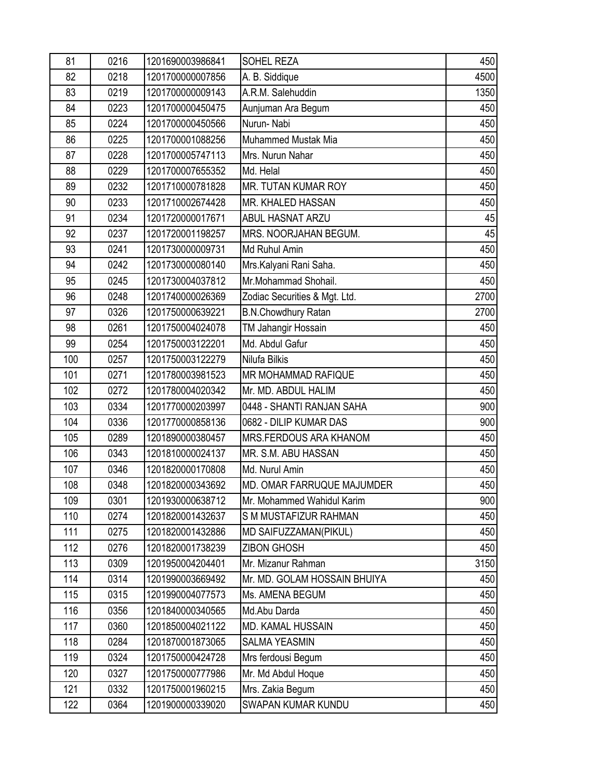| 81  | 0216 | 1201690003986841 | SOHEL REZA                        | 450  |
|-----|------|------------------|-----------------------------------|------|
| 82  | 0218 | 1201700000007856 | A. B. Siddique                    | 4500 |
| 83  | 0219 | 1201700000009143 | A.R.M. Salehuddin                 | 1350 |
| 84  | 0223 | 1201700000450475 | Aunjuman Ara Begum                | 450  |
| 85  | 0224 | 1201700000450566 | Nurun-Nabi                        | 450  |
| 86  | 0225 | 1201700001088256 | Muhammed Mustak Mia               | 450  |
| 87  | 0228 | 1201700005747113 | Mrs. Nurun Nahar                  | 450  |
| 88  | 0229 | 1201700007655352 | Md. Helal                         | 450  |
| 89  | 0232 | 1201710000781828 | MR. TUTAN KUMAR ROY               | 450  |
| 90  | 0233 | 1201710002674428 | MR. KHALED HASSAN                 | 450  |
| 91  | 0234 | 1201720000017671 | ABUL HASNAT ARZU                  | 45   |
| 92  | 0237 | 1201720001198257 | MRS. NOORJAHAN BEGUM.             | 45   |
| 93  | 0241 | 1201730000009731 | Md Ruhul Amin                     | 450  |
| 94  | 0242 | 1201730000080140 | Mrs. Kalyani Rani Saha.           | 450  |
| 95  | 0245 | 1201730004037812 | Mr.Mohammad Shohail.              | 450  |
| 96  | 0248 | 1201740000026369 | Zodiac Securities & Mgt. Ltd.     | 2700 |
| 97  | 0326 | 1201750000639221 | <b>B.N.Chowdhury Ratan</b>        | 2700 |
| 98  | 0261 | 1201750004024078 | TM Jahangir Hossain               | 450  |
| 99  | 0254 | 1201750003122201 | Md. Abdul Gafur                   | 450  |
| 100 | 0257 | 1201750003122279 | Nilufa Bilkis                     | 450  |
| 101 | 0271 | 1201780003981523 | MR MOHAMMAD RAFIQUE               | 450  |
| 102 | 0272 | 1201780004020342 | Mr. MD. ABDUL HALIM               | 450  |
| 103 | 0334 | 1201770000203997 | 0448 - SHANTI RANJAN SAHA         | 900  |
| 104 | 0336 | 1201770000858136 | 0682 - DILIP KUMAR DAS            | 900  |
| 105 | 0289 | 1201890000380457 | <b>MRS.FERDOUS ARA KHANOM</b>     | 450  |
| 106 | 0343 | 1201810000024137 | MR. S.M. ABU HASSAN               | 450  |
| 107 | 0346 | 1201820000170808 | Md. Nurul Amin                    | 450  |
| 108 | 0348 | 1201820000343692 | <b>MD. OMAR FARRUQUE MAJUMDER</b> | 450  |
| 109 | 0301 | 1201930000638712 | Mr. Mohammed Wahidul Karim        | 900  |
| 110 | 0274 | 1201820001432637 | S M MUSTAFIZUR RAHMAN             | 450  |
| 111 | 0275 | 1201820001432886 | MD SAIFUZZAMAN(PIKUL)             | 450  |
| 112 | 0276 | 1201820001738239 | <b>ZIBON GHOSH</b>                | 450  |
| 113 | 0309 | 1201950004204401 | Mr. Mizanur Rahman                | 3150 |
| 114 | 0314 | 1201990003669492 | Mr. MD. GOLAM HOSSAIN BHUIYA      | 450  |
| 115 | 0315 | 1201990004077573 | Ms. AMENA BEGUM                   | 450  |
| 116 | 0356 | 1201840000340565 | Md.Abu Darda                      | 450  |
| 117 | 0360 | 1201850004021122 | <b>MD. KAMAL HUSSAIN</b>          | 450  |
| 118 | 0284 | 1201870001873065 | <b>SALMA YEASMIN</b>              | 450  |
| 119 | 0324 | 1201750000424728 | Mrs ferdousi Begum                | 450  |
| 120 | 0327 | 1201750000777986 | Mr. Md Abdul Hoque                | 450  |
| 121 | 0332 | 1201750001960215 | Mrs. Zakia Begum                  | 450  |
| 122 | 0364 | 1201900000339020 | SWAPAN KUMAR KUNDU                | 450  |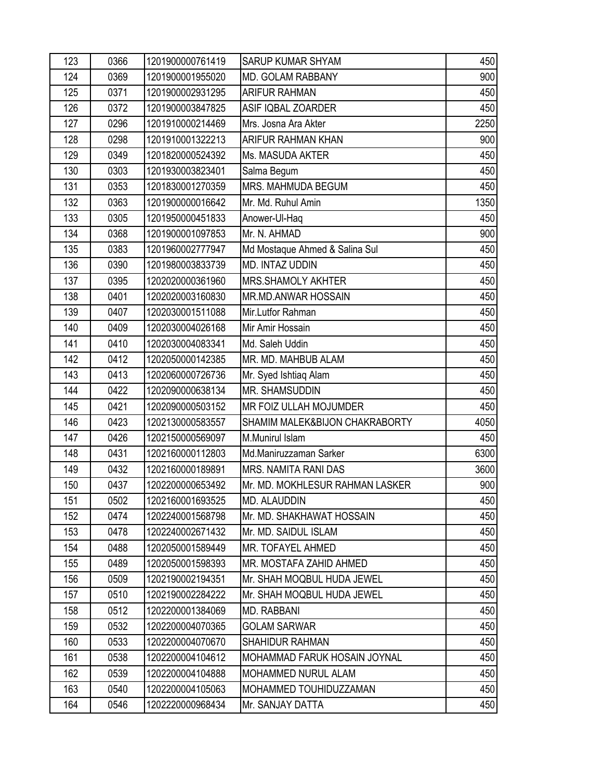| 123 | 0366 | 1201900000761419 | <b>SARUP KUMAR SHYAM</b>        | 450  |
|-----|------|------------------|---------------------------------|------|
| 124 | 0369 | 1201900001955020 | MD. GOLAM RABBANY               | 900  |
| 125 | 0371 | 1201900002931295 | <b>ARIFUR RAHMAN</b>            | 450  |
| 126 | 0372 | 1201900003847825 | ASIF IQBAL ZOARDER              | 450  |
| 127 | 0296 | 1201910000214469 | Mrs. Josna Ara Akter            | 2250 |
| 128 | 0298 | 1201910001322213 | ARIFUR RAHMAN KHAN              | 900  |
| 129 | 0349 | 1201820000524392 | Ms. MASUDA AKTER                | 450  |
| 130 | 0303 | 1201930003823401 | Salma Begum                     | 450  |
| 131 | 0353 | 1201830001270359 | MRS. MAHMUDA BEGUM              | 450  |
| 132 | 0363 | 1201900000016642 | Mr. Md. Ruhul Amin              | 1350 |
| 133 | 0305 | 1201950000451833 | Anower-Ul-Haq                   | 450  |
| 134 | 0368 | 1201900001097853 | Mr. N. AHMAD                    | 900  |
| 135 | 0383 | 1201960002777947 | Md Mostaque Ahmed & Salina Sul  | 450  |
| 136 | 0390 | 1201980003833739 | <b>MD. INTAZ UDDIN</b>          | 450  |
| 137 | 0395 | 1202020000361960 | <b>MRS.SHAMOLY AKHTER</b>       | 450  |
| 138 | 0401 | 1202020003160830 | <b>MR.MD.ANWAR HOSSAIN</b>      | 450  |
| 139 | 0407 | 1202030001511088 | Mir.Lutfor Rahman               | 450  |
| 140 | 0409 | 1202030004026168 | Mir Amir Hossain                | 450  |
| 141 | 0410 | 1202030004083341 | Md. Saleh Uddin                 | 450  |
| 142 | 0412 | 1202050000142385 | MR. MD. MAHBUB ALAM             | 450  |
| 143 | 0413 | 1202060000726736 | Mr. Syed Ishtiaq Alam           | 450  |
| 144 | 0422 | 1202090000638134 | MR. SHAMSUDDIN                  | 450  |
| 145 | 0421 | 1202090000503152 | MR FOIZ ULLAH MOJUMDER          | 450  |
| 146 | 0423 | 1202130000583557 | SHAMIM MALEK&BIJON CHAKRABORTY  | 4050 |
| 147 | 0426 | 1202150000569097 | M.Munirul Islam                 | 450  |
| 148 | 0431 | 1202160000112803 | Md.Maniruzzaman Sarker          | 6300 |
| 149 | 0432 | 1202160000189891 | MRS. NAMITA RANI DAS            | 3600 |
| 150 | 0437 | 1202200000653492 | Mr. MD. MOKHLESUR RAHMAN LASKER | 900  |
| 151 | 0502 | 1202160001693525 | MD. ALAUDDIN                    | 450  |
| 152 | 0474 | 1202240001568798 | Mr. MD. SHAKHAWAT HOSSAIN       | 450  |
| 153 | 0478 | 1202240002671432 | Mr. MD. SAIDUL ISLAM            | 450  |
| 154 | 0488 | 1202050001589449 | MR. TOFAYEL AHMED               | 450  |
| 155 | 0489 | 1202050001598393 | MR. MOSTAFA ZAHID AHMED         | 450  |
| 156 | 0509 | 1202190002194351 | Mr. SHAH MOQBUL HUDA JEWEL      | 450  |
| 157 | 0510 | 1202190002284222 | Mr. SHAH MOQBUL HUDA JEWEL      | 450  |
| 158 | 0512 | 1202200001384069 | MD. RABBANI                     | 450  |
| 159 | 0532 | 1202200004070365 | <b>GOLAM SARWAR</b>             | 450  |
| 160 | 0533 | 1202200004070670 | SHAHIDUR RAHMAN                 | 450  |
| 161 | 0538 | 1202200004104612 | MOHAMMAD FARUK HOSAIN JOYNAL    | 450  |
| 162 | 0539 | 1202200004104888 | MOHAMMED NURUL ALAM             | 450  |
| 163 | 0540 | 1202200004105063 | MOHAMMED TOUHIDUZZAMAN          | 450  |
| 164 | 0546 | 1202220000968434 | Mr. SANJAY DATTA                | 450  |